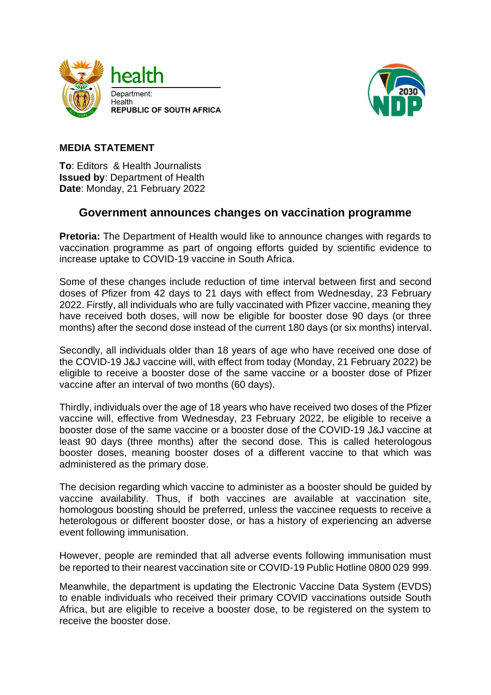



## **MEDIA STATEMENT**

**To**: Editors & Health Journalists **Issued by**: Department of Health **Date**: Monday, 21 February 2022

## **Government announces changes on vaccination programme**

**Pretoria:** The Department of Health would like to announce changes with regards to vaccination programme as part of ongoing efforts guided by scientific evidence to increase uptake to COVID-19 vaccine in South Africa.

Some of these changes include reduction of time interval between first and second doses of Pfizer from 42 days to 21 days with effect from Wednesday, 23 February 2022. Firstly, all individuals who are fully vaccinated with Pfizer vaccine, meaning they have received both doses, will now be eligible for booster dose 90 days (or three months) after the second dose instead of the current 180 days (or six months) interval.

Secondly, all individuals older than 18 years of age who have received one dose of the COVID-19 J&J vaccine will, with effect from today (Monday, 21 February 2022) be eligible to receive a booster dose of the same vaccine or a booster dose of Pfizer vaccine after an interval of two months (60 days).

Thirdly, individuals over the age of 18 years who have received two doses of the Pfizer vaccine will, effective from Wednesday, 23 February 2022, be eligible to receive a booster dose of the same vaccine or a booster dose of the COVID-19 J&J vaccine at least 90 days (three months) after the second dose. This is called heterologous booster doses, meaning booster doses of a different vaccine to that which was administered as the primary dose.

The decision regarding which vaccine to administer as a booster should be guided by vaccine availability. Thus, if both vaccines are available at vaccination site, homologous boosting should be preferred, unless the vaccinee requests to receive a heterologous or different booster dose, or has a history of experiencing an adverse event following immunisation.

However, people are reminded that all adverse events following immunisation must be reported to their nearest vaccination site or COVID-19 Public Hotline 0800 029 999.

Meanwhile, the department is updating the Electronic Vaccine Data System (EVDS) to enable individuals who received their primary COVID vaccinations outside South Africa, but are eligible to receive a booster dose, to be registered on the system to receive the booster dose.